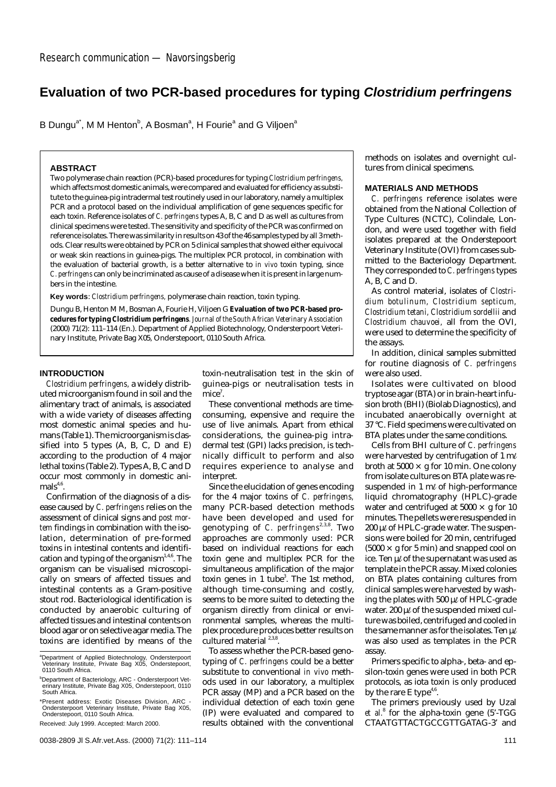# **Evaluation of two PCR-based procedures for typing Clostridium perfringens**

B Dungu<sup>a\*</sup>, M M Henton<sup>b</sup>, A Bosman<sup>a</sup>, H Fourie<sup>a</sup> and G Viljoen<sup>a</sup>

# **ABSTRACT**

Two polymerase chain reaction (PCR)-based procedures for typing *Clostridium perfringens,* which affects most domestic animals, were compared and evaluated for efficiency as substitute to the guinea-pig intradermal test routinely used in our laboratory, namely a multiplex PCR and a protocol based on the individual amplification of gene sequences specific for each toxin. Reference isolates of *C. perfringens* types A, B, C and D as well as cultures from clinical specimens were tested. The sensitivity and specificity of the PCR was confirmed on reference isolates. There was similarity in results on 43 of the 46 samples typed by all 3 methods. Clear results were obtained by PCR on 5 clinical samples that showed either equivocal or weak skin reactions in guinea-pigs. The multiplex PCR protocol, in combination with the evaluation of bacterial growth, is a better alternative to *in vivo* toxin typing, since *C. perfringens* can only be incriminated as cause of a disease when it is present in large numbers in the intestine.

**Key words**: *Clostridium perfringens,* polymerase chain reaction, toxin typing.

Dungu B, Henton M M, Bosman A, Fourie H, Viljoen G **Evaluation of two PCR-based procedures for typing** *Clostridium perfringens. Journal of the South African Veterinary Association* (2000) 71(2): 111–114 (En.). Department of Applied Biotechnology, Ondersterpoort Veterinary Institute, Private Bag X05, Onderstepoort, 0110 South Africa.

### **INTRODUCTION**

*Clostridium perfringens,* a widely distributed microorganism found in soil and the alimentary tract of animals, is associated with a wide variety of diseases affecting most domestic animal species and humans (Table 1). The microorganism is classified into 5 types (A, B, C, D and E) according to the production of 4 major lethal toxins (Table 2). Types A, B, C and D occur most commonly in domestic ani $mals<sup>4,6</sup>$ .

Confirmation of the diagnosis of a disease caused by *C. perfringens* relies on the assessment of clinical signs and *post mortem* findings in combination with the isolation, determination of pre-formed toxins in intestinal contents and identification and typing of the organism<sup>1,4,6</sup>. The organism can be visualised microscopically on smears of affected tissues and intestinal contents as a Gram-positive stout rod. Bacteriological identification is conducted by anaerobic culturing of affected tissues and intestinal contents on blood agar or on selective agar media. The toxins are identified by means of the toxin-neutralisation test in the skin of guinea-pigs or neutralisation tests in  $mice<sup>7</sup>$ .

These conventional methods are timeconsuming, expensive and require the use of live animals. Apart from ethical considerations, the guinea-pig intradermal test (GPI) lacks precision, is technically difficult to perform and also requires experience to analyse and interpret.

Since the elucidation of genes encoding for the 4 major toxins of *C. perfringens,* many PCR-based detection methods have been developed and used for genotyping of *C. perfringens*2,3,8. Two approaches are commonly used: PCR based on individual reactions for each toxin gene and multiplex PCR for the simultaneous amplification of the major toxin genes in 1 tube<sup>3</sup>. The 1st method, although time-consuming and costly, seems to be more suited to detecting the organism directly from clinical or environmental samples, whereas the multiplex procedure produces better results on cultured material 2,3,8.

To assess whether the PCR-based genotyping of *C. perfringens* could be a better substitute to conventional *in vivo* methods used in our laboratory, a multiplex PCR assay (MP) and a PCR based on the individual detection of each toxin gene (IP) were evaluated and compared to results obtained with the conventional methods on isolates and overnight cultures from clinical specimens.

#### **MATERIALS AND METHODS**

*C. perfringens* reference isolates were obtained from the National Collection of Type Cultures (NCTC), Colindale, London, and were used together with field isolates prepared at the Onderstepoort Veterinary Institute (OVI) from cases submitted to the Bacteriology Department. They corresponded to *C. perfringens*types A, B, C and D.

As control material, isolates of *Clostridium botulinum, Clostridium septicum, Clostridium tetani, Clostridium sordellii* and *Clostridium chauvoei,* all from the OVI, were used to determine the specificity of the assays.

In addition, clinical samples submitted for routine diagnosis of *C. perfringens* were also used.

Isolates were cultivated on blood tryptose agar (BTA) or in brain-heart infusion broth (BHI) (Biolab Diagnostics), and incubated anaerobically overnight at 37 °C. Field specimens were cultivated on BTA plates under the same conditions.

Cells from BHI culture of *C. perfringens* were harvested by centrifugation of 1 m broth at 5000  $\times$  g for 10 min. One colony from isolate cultures on BTA plate was resuspended in 1  $m\ell$  of high-performance liquid chromatography (HPLC)-grade water and centrifuged at 5000  $\times$  g for 10 minutes. The pellets were resuspended in 200 µl of HPLC-grade water. The suspensions were boiled for 20 min, centrifuged  $(5000 \times q$  for 5 min) and snapped cool on ice. Ten  $u\ell$  of the supernatant was used as template in the PCR assay. Mixed colonies on BTA plates containing cultures from clinical samples were harvested by washing the plates with 500  $\mu\ell$  of HPLC-grade water. 200  $\mu\ell$  of the suspended mixed culture was boiled, centrifuged and cooled in the same manner as for the isolates. Ten  $u\ell$ was also used as templates in the PCR assay.

Primers specific to alpha-, beta- and epsilon-toxin genes were used in both PCR protocols, as iota toxin is only produced by the rare  $E$  type<sup>4,6</sup>.

The primers previously used by Uzal et al.<sup>8</sup> for the alpha-toxin gene (5'-TGG CTAATGTTACTGCCGTTGATAG-3' and

a Department of Applied Biotechnology, Ondersterpoort Veterinary Institute, Private Bag X05, Onderstepoort, 0110 South Africa.

b Department of Bacteriology, ARC - Ondersterpoort Vet-erinary Institute, Private Bag X05, Onderstepoort, 0110 South Africa.

<sup>\*</sup>Present address: Exotic Diseases Division, ARC - Ondersterpoort Veterinary Institute, Private Bag X05, Onderstepoort, 0110 South Africa.

Received: July 1999. Accepted: March 2000.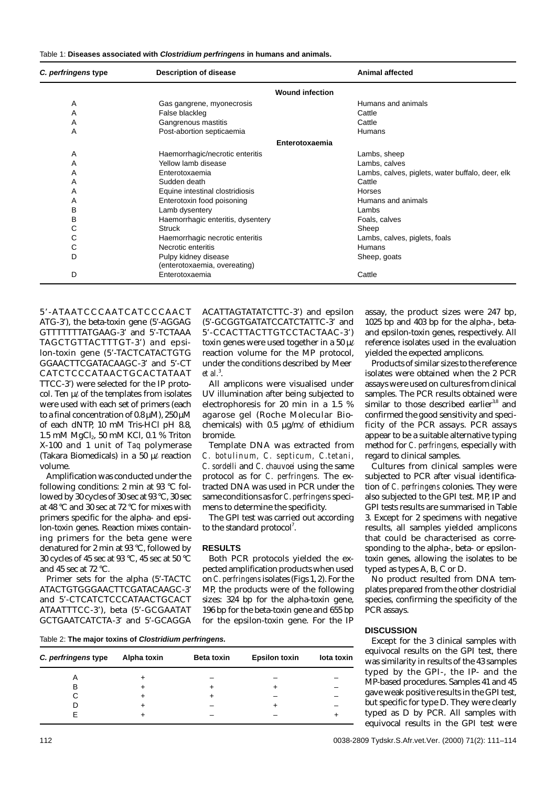|  |  | Table 1: Diseases associated with Clostridium perfringens in humans and animals. |  |  |  |  |  |  |  |
|--|--|----------------------------------------------------------------------------------|--|--|--|--|--|--|--|
|--|--|----------------------------------------------------------------------------------|--|--|--|--|--|--|--|

| C. perfringens type | <b>Description of disease</b>     | <b>Animal affected</b>                           |  |  |
|---------------------|-----------------------------------|--------------------------------------------------|--|--|
|                     | <b>Wound infection</b>            |                                                  |  |  |
| A                   | Gas gangrene, myonecrosis         | Humans and animals                               |  |  |
| A                   | False blackleg                    | Cattle                                           |  |  |
| A                   | Gangrenous mastitis               | Cattle                                           |  |  |
| Α                   | Post-abortion septicaemia         | <b>Humans</b>                                    |  |  |
|                     | Enterotoxaemia                    |                                                  |  |  |
| Α                   | Haemorrhagic/necrotic enteritis   | Lambs, sheep                                     |  |  |
| Α                   | Yellow lamb disease               | Lambs, calves                                    |  |  |
| Α                   | Enterotoxaemia                    | Lambs, calves, piglets, water buffalo, deer, elk |  |  |
| Α                   | Sudden death                      | Cattle                                           |  |  |
| A                   | Equine intestinal clostridiosis   | Horses                                           |  |  |
| Α                   | Enterotoxin food poisoning        | Humans and animals                               |  |  |
| В                   | Lamb dysentery                    | Lambs                                            |  |  |
| В                   | Haemorrhagic enteritis, dysentery | Foals, calves                                    |  |  |
| С                   | <b>Struck</b>                     | Sheep                                            |  |  |
| С                   | Haemorrhagic necrotic enteritis   | Lambs, calves, piglets, foals                    |  |  |
| С                   | Necrotic enteritis                | <b>Humans</b>                                    |  |  |
| D                   | Pulpy kidney disease              | Sheep, goats                                     |  |  |
|                     | (enterotoxaemia, overeating)      |                                                  |  |  |
| D                   | Enterotoxaemia                    | Cattle                                           |  |  |

5'-ATAATCCCAATCATCCCAACT ATG-3'), the beta-toxin gene (5'-AGGAG GTTTTTTTATGAAG-3' and 5'-TCTAAA TAGCTGTTACTTTGT-3') and epsilon-toxin gene (5'-TACTCATACTGTG GGAACTTCGATACAAGC-3' and 5'-CT CATCTCCCATAACTGCACTATAAT TTCC-3') were selected for the IP protocol. Ten  $u\ell$  of the templates from isolates were used with each set of primers (each to a final concentration of 0.8 µM), 250 µM of each dNTP, 10 mM Tris-HCl pH 8.8, 1.5 mM MgCl<sub>2</sub>, 50 mM KCl, 0.1 % Triton X-100 and 1 unit of *Taq* polymerase (Takara Biomedicals) in a 50  $\mu$  reaction volume.

Amplification was conducted under the following conditions: 2 min at 93 °C followed by 30 cycles of 30 sec at 93 °C, 30 sec at 48 °C and 30 sec at 72 °C for mixes with primers specific for the alpha- and epsilon-toxin genes. Reaction mixes containing primers for the beta gene were denatured for 2 min at 93 °C, followed by 30 cycles of 45 sec at 93 °C, 45 sec at 50 °C and 45 sec at 72 °C.

Primer sets for the alpha (5'-TACTC ATACTGTGGGAACTTCGATACAAGC-3' and 5'-CTCATCTCCCATAACTGCACT ATAATTTCC-3'), beta (5'-GCGAATAT GCTGAATCATCTA-3' and 5'-GCAGGA ACATTAGTATATCTTC-3') and epsilon (5'-GCGGTGATATCCATCTATTC-3' and 5'-CCACTTACTTGTCCTACTAAC-3') toxin genes were used together in a 50  $\mu\ell$ reaction volume for the MP protocol, under the conditions described by Meer *et al.*<sup>3</sup> .

All amplicons were visualised under UV illumination after being subjected to electrophoresis for 20 min in a 1.5 % agarose gel (Roche Molecular Biochemicals) with 0.5  $\mu q/m\ell$  of ethidium bromide.

Template DNA was extracted from *C. botulinum, C. septicum, C.tetani, C. sordelli* and *C. chauvoei* using the same protocol as for *C. perfringens.* The extracted DNA was used in PCR under the same conditions as for*C. perfringens* specimens to determine the specificity.

The GPI test was carried out according to the standard protocol<sup>7</sup>.

### **RESULTS**

Both PCR protocols yielded the expected amplification products when used on *C. perfringens*isolates (Figs 1, 2). For the MP, the products were of the following sizes: 324 bp for the alpha-toxin gene, 196 bp for the beta-toxin gene and 655 bp for the epsilon-toxin gene. For the IP

assay, the product sizes were 247 bp, 1025 bp and 403 bp for the alpha-, betaand epsilon-toxin genes, respectively. All reference isolates used in the evaluation yielded the expected amplicons.

Products of similar sizes to the reference isolates were obtained when the 2 PCR assays were used on cultures from clinical samples. The PCR results obtained were similar to those described earlier<sup>3,8</sup> and confirmed the good sensitivity and specificity of the PCR assays. PCR assays appear to be a suitable alternative typing method for *C. perfringens,* especially with regard to clinical samples.

Cultures from clinical samples were subjected to PCR after visual identification of *C. perfringens* colonies. They were also subjected to the GPI test. MP, IP and GPI tests results are summarised in Table 3. Except for 2 specimens with negative results, all samples yielded amplicons that could be characterised as corresponding to the alpha-, beta- or epsilontoxin genes, allowing the isolates to be typed as types A, B, C or D.

No product resulted from DNA templates prepared from the other clostridial species, confirming the specificity of the PCR assays.

#### **DISCUSSION**

Except for the 3 clinical samples with equivocal results on the GPI test, there was similarity in results of the 43 samples typed by the GPI-, the IP- and the MP-based procedures. Samples 41 and 45 gave weak positive results in the GPI test, but specific for type D. They were clearly typed as D by PCR. All samples with equivocal results in the GPI test were

Table 2: **The major toxins of Clostridium perfringens.**

| C. perfringens type | Alpha toxin | <b>Beta toxin</b> | <b>Epsilon toxin</b> | lota toxin |
|---------------------|-------------|-------------------|----------------------|------------|
| A                   |             |                   |                      |            |
| в                   |             |                   |                      |            |
| ັ                   |             |                   |                      |            |
|                     |             |                   |                      |            |
|                     |             |                   |                      |            |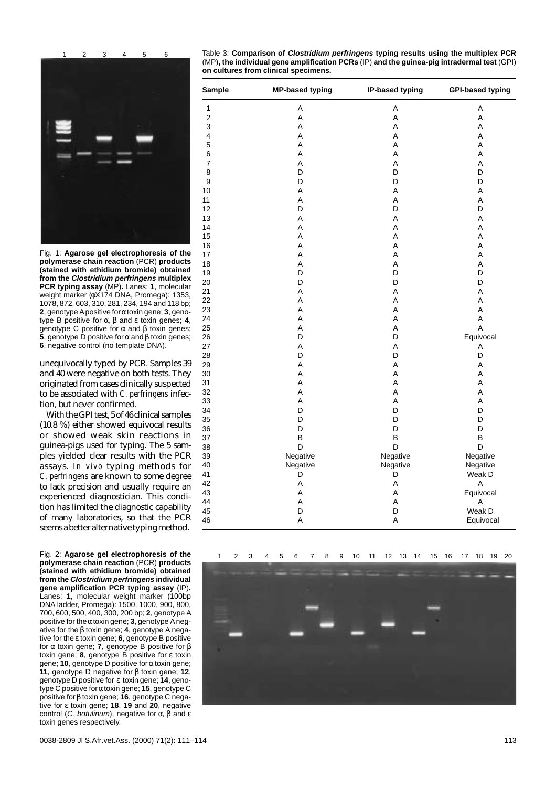

Fig. 1: **Agarose gel electrophoresis of the polymerase chain reaction** (PCR) **products (stained with ethidium bromide) obtained from the Clostridium perfringens multiplex PCR typing assay** (MP)**.** Lanes: **1**, molecular weight marker (φX174 DNA, Promega): 1353, 1078, 872, 603, 310, 281, 234, 194 and 118 bp; **2**, genotype Apositive forαtoxin gene; **3**, genotype B positive for α, β and ε toxin genes; **4**, genotype C positive for α and β toxin genes; **5**, genotype D positive for  $\alpha$  and  $\beta$  toxin genes; **6**, negative control (no template DNA).

unequivocally typed by PCR. Samples 39 and 40 were negative on both tests. They originated from cases clinically suspected to be associated with *C. perfringens* infection, but never confirmed.

With the GPI test, 5 of 46 clinical samples (10.8 %) either showed equivocal results or showed weak skin reactions in guinea-pigs used for typing. The 5 samples yielded clear results with the PCR assays. *In vivo* typing methods for *C. perfringens* are known to some degree to lack precision and usually require an experienced diagnostician. This condition has limited the diagnostic capability of many laboratories, so that the PCR seems a better alternative typing method.

Fig. 2: **Agarose gel electrophoresis of the polymerase chain reaction** (PCR) **products (stained with ethidium bromide) obtained from the Clostridium perfringens individual gene amplification PCR typing assay** (IP)**.** Lanes: **1**, molecular weight marker (100bp DNA ladder, Promega): 1500, 1000, 900, 800, 700, 600, 500, 400, 300, 200 bp; **2**, genotype A positive for theαtoxin gene; **3**, genotype Anegative for the β toxin gene; **4**, genotype A negative for the ε toxin gene; **6**, genotype B positive for α toxin gene; **7**, genotype B positive for β toxin gene; **8**, genotype B positive for ε toxin gene; **10**, genotype D positive for  $\alpha$  toxin gene; **11**, genotype D negative for β toxin gene; **12**, genotype D positive for ε toxin gene; **14**, genotype C positive forαtoxin gene; **15**, genotype C positive forβ toxin gene; **16**, genotype C negative for ε toxin gene; **18**, **19** and **20**, negative control (C. botulinum), negative for  $\alpha$ ,  $\beta$  and ε toxin genes respectively.

Table 3: **Comparison of Clostridium perfringens typing results using the multiplex PCR** (MP)**, the individual gene amplification PCRs** (IP) **and the guinea-pig intradermal test** (GPI) **on cultures from clinical specimens.**

| <b>Sample</b> | <b>MP-based typing</b> | IP-based typing | <b>GPI-based typing</b> |
|---------------|------------------------|-----------------|-------------------------|
| 1             | Α                      | Α               | Α                       |
| $\mathbf 2$   | Α                      | Α               | Α                       |
| 3             | Α                      | Α               | Α                       |
| 4             | Α                      | Α               | Α                       |
| 5             | A                      | A               | A                       |
| 6             | Α                      | Α               | Α                       |
| 7             | Α                      | Α               | Α                       |
| 8             | D                      | D               | D                       |
| 9             | D                      | D               | D                       |
| 10            | Α                      | Α               | Α                       |
| 11            | Α                      | Α               | Α                       |
| 12            | D                      | D               | D                       |
| 13            | Α                      | Α               | Α                       |
| 14            | Α                      | Α               | Α                       |
| 15            | A                      | A               | A                       |
| 16            | Α                      | Α               | Α                       |
| 17            | Α                      | Α               | Α                       |
| 18            | Α                      | A               | A                       |
| 19            | D                      | D               | D                       |
| 20            | D                      | D               | D                       |
| 21            | A                      | Α               | Α                       |
| 22            | Α                      | Α               | Α                       |
| 23            | Α                      | Α               | Α                       |
| 24            | Α                      | Α               | Α                       |
| 25            | A                      | A               | A                       |
| 26            | D                      | D               | Equivocal               |
| 27            | Α                      | Α               | Α                       |
| 28            | D                      | D               | D                       |
| 29            | Α                      | Α               | Α                       |
| 30            | Α                      | Α               | Α                       |
| 31            | Α                      | Α               | Α                       |
| 32            | A                      | A               | A                       |
| 33            | Α                      | Α               | Α                       |
| 34            | D                      | D               | D                       |
| 35            | D                      | D               | D                       |
| 36            | D                      | D               | D                       |
| 37            | B                      | B               | B                       |
| 38            | D                      | D               | D                       |
| 39            | Negative               | Negative        | Negative                |
| 40            | Negative               | Negative        | Negative                |
| 41            | D                      | D               | Weak D                  |
| 42            | Α                      | Α               | Α                       |
| 43            | A                      | Α               | Equivocal               |
| 44            | Α                      | Α               | Α                       |
| 45            | D                      | D               | Weak D                  |
| 46            | Α                      | Α               | Equivocal               |

#### 1 2 3 4 5 6 7 8 9 10 11 12 13 14 15 16 17 18 19 20